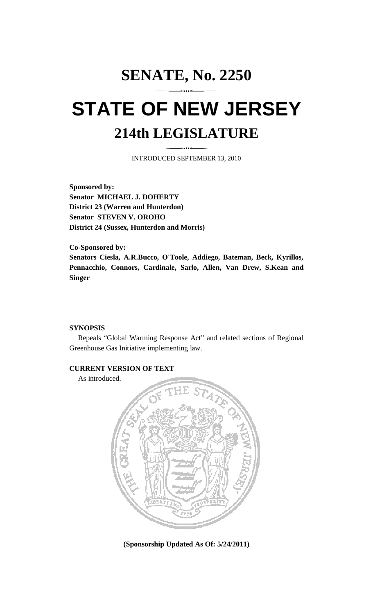# **SENATE, No. 2250 STATE OF NEW JERSEY 214th LEGISLATURE**

INTRODUCED SEPTEMBER 13, 2010

**Sponsored by: Senator MICHAEL J. DOHERTY District 23 (Warren and Hunterdon) Senator STEVEN V. OROHO District 24 (Sussex, Hunterdon and Morris)** 

**Co-Sponsored by: Senators Ciesla, A.R.Bucco, O'Toole, Addiego, Bateman, Beck, Kyrillos, Pennacchio, Connors, Cardinale, Sarlo, Allen, Van Drew, S.Kean and Singer** 

### **SYNOPSIS**

 Repeals "Global Warming Response Act" and related sections of Regional Greenhouse Gas Initiative implementing law.

## **CURRENT VERSION OF TEXT**

As introduced.



**(Sponsorship Updated As Of: 5/24/2011)**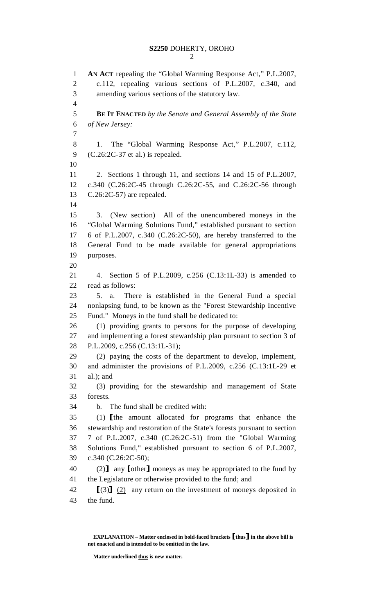```
2
```
1 **AN ACT** repealing the "Global Warming Response Act," P.L.2007, 2 c.112, repealing various sections of P.L.2007, c.340, and 3 amending various sections of the statutory law. 4 5 **BE IT ENACTED** *by the Senate and General Assembly of the State*  6 *of New Jersey:* 7 8 1. The "Global Warming Response Act," P.L.2007, c.112, 9 (C.26:2C-37 et al.) is repealed. 10 11 2. Sections 1 through 11, and sections 14 and 15 of P.L.2007, 12 c.340 (C.26:2C-45 through C.26:2C-55, and C.26:2C-56 through 13 C.26:2C-57) are repealed. 14 15 3. (New section) All of the unencumbered moneys in the 16 "Global Warming Solutions Fund," established pursuant to section 17 6 of P.L.2007, c.340 (C.26:2C-50), are hereby transferred to the 18 General Fund to be made available for general appropriations 19 purposes. 20 21 4. Section 5 of P.L.2009, c.256 (C.13:1L-33) is amended to 22 read as follows: 23 5. a. There is established in the General Fund a special 24 nonlapsing fund, to be known as the "Forest Stewardship Incentive 25 Fund." Moneys in the fund shall be dedicated to: 26 (1) providing grants to persons for the purpose of developing 27 and implementing a forest stewardship plan pursuant to section 3 of 28 P.L.2009, c.256 (C.13:1L-31); 29 (2) paying the costs of the department to develop, implement, 30 and administer the provisions of P.L.2009, c.256 (C.13:1L-29 et 31 al.); and 32 (3) providing for the stewardship and management of State 33 forests. 34 b. The fund shall be credited with: 35 (1) [the amount allocated for programs that enhance the 36 stewardship and restoration of the State's forests pursuant to section stewardship and restoration of the State's forests pursuant to section 37 7 of P.L.2007, c.340 (C.26:2C-51) from the "Global Warming 38 Solutions Fund," established pursuant to section 6 of P.L.2007, 39 c.340 (C.26:2C-50); 40 (2) any [other] moneys as may be appropriated to the fund by the Legislature or otherwise provided to the fund: and the Legislature or otherwise provided to the fund; and 42  $[(3)]$  (2) any return on the investment of moneys deposited in 43 the fund. the fund.

**Matter underlined thus is new matter.** 

**EXPLANATION – Matter enclosed in bold-faced brackets** [**thus**] **in the above bill is not enacted and is intended to be omitted in the law.**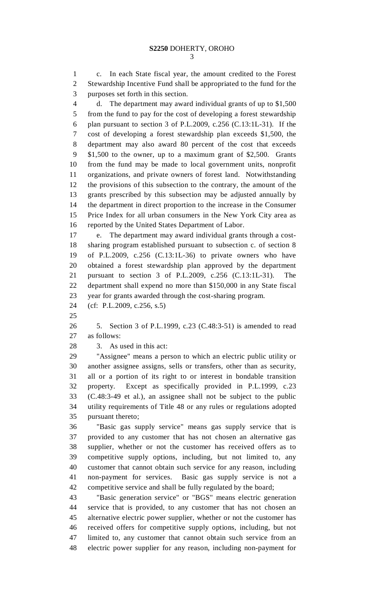1 c. In each State fiscal year, the amount credited to the Forest 2 Stewardship Incentive Fund shall be appropriated to the fund for the 3 purposes set forth in this section.

4 d. The department may award individual grants of up to \$1,500 5 from the fund to pay for the cost of developing a forest stewardship 6 plan pursuant to section 3 of P.L.2009, c.256 (C.13:1L-31). If the 7 cost of developing a forest stewardship plan exceeds \$1,500, the 8 department may also award 80 percent of the cost that exceeds 9 \$1,500 to the owner, up to a maximum grant of \$2,500. Grants 10 from the fund may be made to local government units, nonprofit 11 organizations, and private owners of forest land. Notwithstanding 12 the provisions of this subsection to the contrary, the amount of the 13 grants prescribed by this subsection may be adjusted annually by 14 the department in direct proportion to the increase in the Consumer 15 Price Index for all urban consumers in the New York City area as 16 reported by the United States Department of Labor.

17 e. The department may award individual grants through a cost-18 sharing program established pursuant to subsection c. of section 8 19 of P.L.2009, c.256 (C.13:1L-36) to private owners who have 20 obtained a forest stewardship plan approved by the department 21 pursuant to section 3 of P.L.2009, c.256 (C.13:1L-31). The 22 department shall expend no more than \$150,000 in any State fiscal 23 year for grants awarded through the cost-sharing program.

24 (cf: P.L.2009, c.256, s.5)

25

26 5. Section 3 of P.L.1999, c.23 (C.48:3-51) is amended to read 27 as follows:

29 "Assignee" means a person to which an electric public utility or 30 another assignee assigns, sells or transfers, other than as security, 31 all or a portion of its right to or interest in bondable transition 32 property. Except as specifically provided in P.L.1999, c.23 33 (C.48:3-49 et al.), an assignee shall not be subject to the public 34 utility requirements of Title 48 or any rules or regulations adopted 35 pursuant thereto;

36 "Basic gas supply service" means gas supply service that is 37 provided to any customer that has not chosen an alternative gas 38 supplier, whether or not the customer has received offers as to 39 competitive supply options, including, but not limited to, any 40 customer that cannot obtain such service for any reason, including 41 non-payment for services. Basic gas supply service is not a 42 competitive service and shall be fully regulated by the board;

43 "Basic generation service" or "BGS" means electric generation 44 service that is provided, to any customer that has not chosen an 45 alternative electric power supplier, whether or not the customer has 46 received offers for competitive supply options, including, but not 47 limited to, any customer that cannot obtain such service from an 48 electric power supplier for any reason, including non-payment for

<sup>28 3.</sup> As used in this act: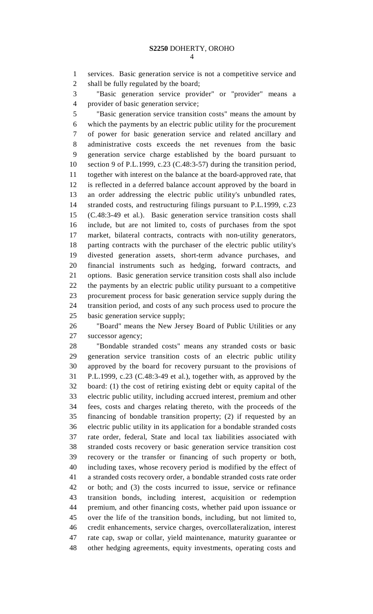4

1 services. Basic generation service is not a competitive service and 2 shall be fully regulated by the board;

3 "Basic generation service provider" or "provider" means a 4 provider of basic generation service;

5 "Basic generation service transition costs" means the amount by 6 which the payments by an electric public utility for the procurement 7 of power for basic generation service and related ancillary and 8 administrative costs exceeds the net revenues from the basic 9 generation service charge established by the board pursuant to 10 section 9 of P.L.1999, c.23 (C.48:3-57) during the transition period, 11 together with interest on the balance at the board-approved rate, that 12 is reflected in a deferred balance account approved by the board in 13 an order addressing the electric public utility's unbundled rates, 14 stranded costs, and restructuring filings pursuant to P.L.1999, c.23 15 (C.48:3-49 et al.). Basic generation service transition costs shall 16 include, but are not limited to, costs of purchases from the spot 17 market, bilateral contracts, contracts with non-utility generators, 18 parting contracts with the purchaser of the electric public utility's 19 divested generation assets, short-term advance purchases, and 20 financial instruments such as hedging, forward contracts, and 21 options. Basic generation service transition costs shall also include 22 the payments by an electric public utility pursuant to a competitive 23 procurement process for basic generation service supply during the 24 transition period, and costs of any such process used to procure the 25 basic generation service supply;

26 "Board" means the New Jersey Board of Public Utilities or any 27 successor agency;

28 "Bondable stranded costs" means any stranded costs or basic 29 generation service transition costs of an electric public utility 30 approved by the board for recovery pursuant to the provisions of 31 P.L.1999, c.23 (C.48:3-49 et al.), together with, as approved by the 32 board: (1) the cost of retiring existing debt or equity capital of the 33 electric public utility, including accrued interest, premium and other 34 fees, costs and charges relating thereto, with the proceeds of the 35 financing of bondable transition property; (2) if requested by an 36 electric public utility in its application for a bondable stranded costs 37 rate order, federal, State and local tax liabilities associated with 38 stranded costs recovery or basic generation service transition cost 39 recovery or the transfer or financing of such property or both, 40 including taxes, whose recovery period is modified by the effect of 41 a stranded costs recovery order, a bondable stranded costs rate order 42 or both; and (3) the costs incurred to issue, service or refinance 43 transition bonds, including interest, acquisition or redemption 44 premium, and other financing costs, whether paid upon issuance or 45 over the life of the transition bonds, including, but not limited to, 46 credit enhancements, service charges, overcollateralization, interest 47 rate cap, swap or collar, yield maintenance, maturity guarantee or 48 other hedging agreements, equity investments, operating costs and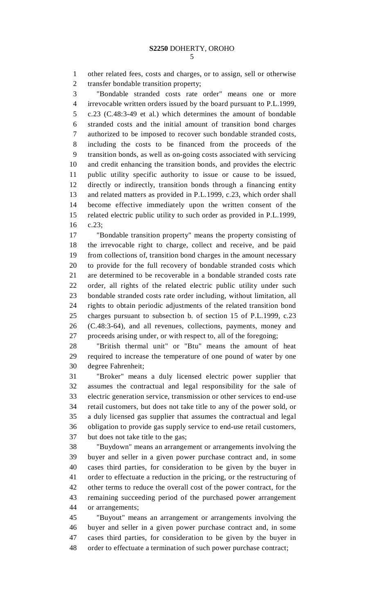5

1 other related fees, costs and charges, or to assign, sell or otherwise 2 transfer bondable transition property;

3 "Bondable stranded costs rate order" means one or more 4 irrevocable written orders issued by the board pursuant to P.L.1999, 5 c.23 (C.48:3-49 et al.) which determines the amount of bondable 6 stranded costs and the initial amount of transition bond charges 7 authorized to be imposed to recover such bondable stranded costs, 8 including the costs to be financed from the proceeds of the 9 transition bonds, as well as on-going costs associated with servicing 10 and credit enhancing the transition bonds, and provides the electric 11 public utility specific authority to issue or cause to be issued, 12 directly or indirectly, transition bonds through a financing entity 13 and related matters as provided in P.L.1999, c.23, which order shall 14 become effective immediately upon the written consent of the 15 related electric public utility to such order as provided in P.L.1999, 16 c.23;

17 "Bondable transition property" means the property consisting of 18 the irrevocable right to charge, collect and receive, and be paid 19 from collections of, transition bond charges in the amount necessary 20 to provide for the full recovery of bondable stranded costs which 21 are determined to be recoverable in a bondable stranded costs rate 22 order, all rights of the related electric public utility under such 23 bondable stranded costs rate order including, without limitation, all 24 rights to obtain periodic adjustments of the related transition bond 25 charges pursuant to subsection b. of section 15 of P.L.1999, c.23 26 (C.48:3-64), and all revenues, collections, payments, money and 27 proceeds arising under, or with respect to, all of the foregoing;

28 "British thermal unit" or "Btu" means the amount of heat 29 required to increase the temperature of one pound of water by one 30 degree Fahrenheit;

31 "Broker" means a duly licensed electric power supplier that 32 assumes the contractual and legal responsibility for the sale of 33 electric generation service, transmission or other services to end-use 34 retail customers, but does not take title to any of the power sold, or 35 a duly licensed gas supplier that assumes the contractual and legal 36 obligation to provide gas supply service to end-use retail customers, 37 but does not take title to the gas;

38 "Buydown" means an arrangement or arrangements involving the 39 buyer and seller in a given power purchase contract and, in some 40 cases third parties, for consideration to be given by the buyer in 41 order to effectuate a reduction in the pricing, or the restructuring of 42 other terms to reduce the overall cost of the power contract, for the 43 remaining succeeding period of the purchased power arrangement 44 or arrangements;

45 "Buyout" means an arrangement or arrangements involving the 46 buyer and seller in a given power purchase contract and, in some 47 cases third parties, for consideration to be given by the buyer in 48 order to effectuate a termination of such power purchase contract;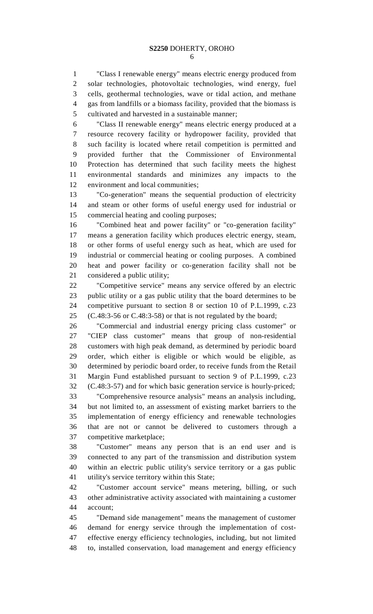1 "Class I renewable energy" means electric energy produced from 2 solar technologies, photovoltaic technologies, wind energy, fuel 3 cells, geothermal technologies, wave or tidal action, and methane 4 gas from landfills or a biomass facility, provided that the biomass is 5 cultivated and harvested in a sustainable manner;

6 "Class II renewable energy" means electric energy produced at a 7 resource recovery facility or hydropower facility, provided that 8 such facility is located where retail competition is permitted and 9 provided further that the Commissioner of Environmental 10 Protection has determined that such facility meets the highest 11 environmental standards and minimizes any impacts to the 12 environment and local communities;

13 "Co-generation" means the sequential production of electricity 14 and steam or other forms of useful energy used for industrial or 15 commercial heating and cooling purposes;

16 "Combined heat and power facility" or "co-generation facility" 17 means a generation facility which produces electric energy, steam, 18 or other forms of useful energy such as heat, which are used for 19 industrial or commercial heating or cooling purposes. A combined 20 heat and power facility or co-generation facility shall not be 21 considered a public utility;

22 "Competitive service" means any service offered by an electric 23 public utility or a gas public utility that the board determines to be 24 competitive pursuant to section 8 or section 10 of P.L.1999, c.23 25 (C.48:3-56 or C.48:3-58) or that is not regulated by the board;

26 "Commercial and industrial energy pricing class customer" or 27 "CIEP class customer" means that group of non-residential 28 customers with high peak demand, as determined by periodic board 29 order, which either is eligible or which would be eligible, as 30 determined by periodic board order, to receive funds from the Retail 31 Margin Fund established pursuant to section 9 of P.L.1999, c.23 32 (C.48:3-57) and for which basic generation service is hourly-priced; 33 "Comprehensive resource analysis" means an analysis including, 34 but not limited to, an assessment of existing market barriers to the

35 implementation of energy efficiency and renewable technologies 36 that are not or cannot be delivered to customers through a 37 competitive marketplace;

38 "Customer" means any person that is an end user and is 39 connected to any part of the transmission and distribution system 40 within an electric public utility's service territory or a gas public 41 utility's service territory within this State;

42 "Customer account service" means metering, billing, or such 43 other administrative activity associated with maintaining a customer 44 account;

45 "Demand side management" means the management of customer 46 demand for energy service through the implementation of cost-47 effective energy efficiency technologies, including, but not limited 48 to, installed conservation, load management and energy efficiency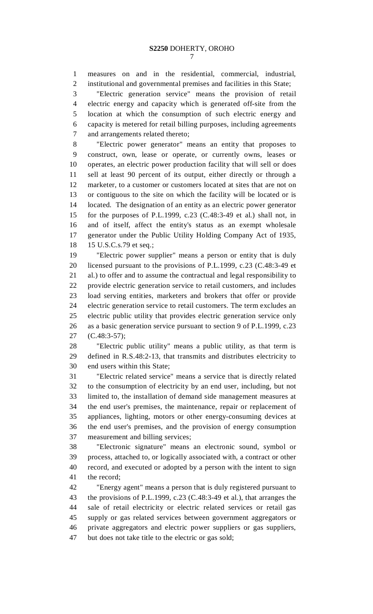1 measures on and in the residential, commercial, industrial, 2 institutional and governmental premises and facilities in this State;

3 "Electric generation service" means the provision of retail 4 electric energy and capacity which is generated off-site from the 5 location at which the consumption of such electric energy and 6 capacity is metered for retail billing purposes, including agreements 7 and arrangements related thereto;

8 "Electric power generator" means an entity that proposes to 9 construct, own, lease or operate, or currently owns, leases or 10 operates, an electric power production facility that will sell or does 11 sell at least 90 percent of its output, either directly or through a 12 marketer, to a customer or customers located at sites that are not on 13 or contiguous to the site on which the facility will be located or is 14 located. The designation of an entity as an electric power generator 15 for the purposes of P.L.1999, c.23 (C.48:3-49 et al.) shall not, in 16 and of itself, affect the entity's status as an exempt wholesale 17 generator under the Public Utility Holding Company Act of 1935, 18 15 U.S.C.s.79 et seq.;

19 "Electric power supplier" means a person or entity that is duly 20 licensed pursuant to the provisions of P.L.1999, c.23 (C.48:3-49 et 21 al.) to offer and to assume the contractual and legal responsibility to 22 provide electric generation service to retail customers, and includes 23 load serving entities, marketers and brokers that offer or provide 24 electric generation service to retail customers. The term excludes an 25 electric public utility that provides electric generation service only 26 as a basic generation service pursuant to section 9 of P.L.1999, c.23 27 (C.48:3-57);

28 "Electric public utility" means a public utility, as that term is 29 defined in R.S.48:2-13, that transmits and distributes electricity to 30 end users within this State;

31 "Electric related service" means a service that is directly related 32 to the consumption of electricity by an end user, including, but not 33 limited to, the installation of demand side management measures at 34 the end user's premises, the maintenance, repair or replacement of 35 appliances, lighting, motors or other energy-consuming devices at 36 the end user's premises, and the provision of energy consumption 37 measurement and billing services;

38 "Electronic signature" means an electronic sound, symbol or 39 process, attached to, or logically associated with, a contract or other 40 record, and executed or adopted by a person with the intent to sign 41 the record;

42 "Energy agent" means a person that is duly registered pursuant to 43 the provisions of P.L.1999, c.23 (C.48:3-49 et al.), that arranges the 44 sale of retail electricity or electric related services or retail gas 45 supply or gas related services between government aggregators or 46 private aggregators and electric power suppliers or gas suppliers, 47 but does not take title to the electric or gas sold;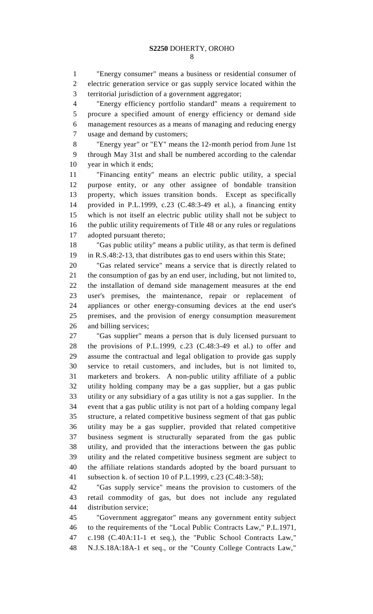1 "Energy consumer" means a business or residential consumer of 2 electric generation service or gas supply service located within the 3 territorial jurisdiction of a government aggregator;

4 "Energy efficiency portfolio standard" means a requirement to 5 procure a specified amount of energy efficiency or demand side 6 management resources as a means of managing and reducing energy 7 usage and demand by customers;

8 "Energy year" or "EY" means the 12-month period from June 1st 9 through May 31st and shall be numbered according to the calendar 10 year in which it ends;

11 "Financing entity" means an electric public utility, a special 12 purpose entity, or any other assignee of bondable transition 13 property, which issues transition bonds. Except as specifically 14 provided in P.L.1999, c.23 (C.48:3-49 et al.), a financing entity 15 which is not itself an electric public utility shall not be subject to 16 the public utility requirements of Title 48 or any rules or regulations 17 adopted pursuant thereto;

18 "Gas public utility" means a public utility, as that term is defined 19 in R.S.48:2-13, that distributes gas to end users within this State;

20 "Gas related service" means a service that is directly related to 21 the consumption of gas by an end user, including, but not limited to, 22 the installation of demand side management measures at the end 23 user's premises, the maintenance, repair or replacement of 24 appliances or other energy-consuming devices at the end user's 25 premises, and the provision of energy consumption measurement 26 and billing services;

27 "Gas supplier" means a person that is duly licensed pursuant to 28 the provisions of P.L.1999, c.23 (C.48:3-49 et al.) to offer and 29 assume the contractual and legal obligation to provide gas supply 30 service to retail customers, and includes, but is not limited to, 31 marketers and brokers. A non-public utility affiliate of a public 32 utility holding company may be a gas supplier, but a gas public 33 utility or any subsidiary of a gas utility is not a gas supplier. In the 34 event that a gas public utility is not part of a holding company legal 35 structure, a related competitive business segment of that gas public 36 utility may be a gas supplier, provided that related competitive 37 business segment is structurally separated from the gas public 38 utility, and provided that the interactions between the gas public 39 utility and the related competitive business segment are subject to 40 the affiliate relations standards adopted by the board pursuant to 41 subsection k. of section 10 of P.L.1999, c.23 (C.48:3-58);

42 "Gas supply service" means the provision to customers of the 43 retail commodity of gas, but does not include any regulated 44 distribution service;

45 "Government aggregator" means any government entity subject 46 to the requirements of the "Local Public Contracts Law," P.L.1971, 47 c.198 (C.40A:11-1 et seq.), the "Public School Contracts Law," 48 N.J.S.18A:18A-1 et seq., or the "County College Contracts Law,"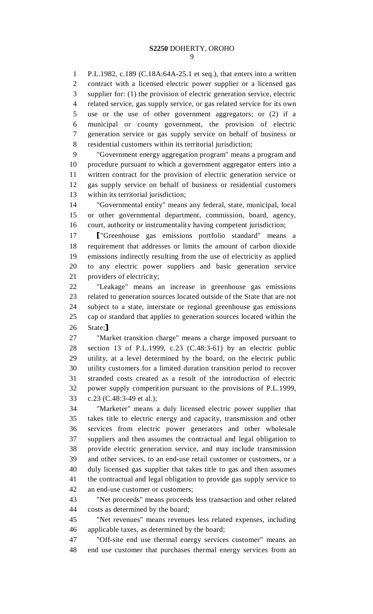1 P.L.1982, c.189 (C.18A:64A-25.1 et seq.), that enters into a written 2 contract with a licensed electric power supplier or a licensed gas 3 supplier for: (1) the provision of electric generation service, electric 4 related service, gas supply service, or gas related service for its own 5 use or the use of other government aggregators; or (2) if a 6 municipal or county government, the provision of electric 7 generation service or gas supply service on behalf of business or 8 residential customers within its territorial jurisdiction;

9 "Government energy aggregation program" means a program and 10 procedure pursuant to which a government aggregator enters into a 11 written contract for the provision of electric generation service or 12 gas supply service on behalf of business or residential customers 13 within its territorial jurisdiction;

14 "Governmental entity" means any federal, state, municipal, local 15 or other governmental department, commission, board, agency, 16 court, authority or instrumentality having competent jurisdiction;

17 ["Greenhouse gas emissions portfolio standard" means a<br>18 requirement that addresses or limits the amount of carbon dioxide 18 requirement that addresses or limits the amount of carbon dioxide 19 emissions indirectly resulting from the use of electricity as applied 20 to any electric power suppliers and basic generation service 21 providers of electricity;

22 "Leakage" means an increase in greenhouse gas emissions 23 related to generation sources located outside of the State that are not 24 subject to a state, interstate or regional greenhouse gas emissions 25 cap or standard that applies to generation sources located within the 26 State;]<br>27 "Ma

"Market transition charge" means a charge imposed pursuant to 28 section 13 of P.L.1999, c.23 (C.48:3-61) by an electric public 29 utility, at a level determined by the board, on the electric public 30 utility customers for a limited duration transition period to recover 31 stranded costs created as a result of the introduction of electric 32 power supply competition pursuant to the provisions of P.L.1999, 33 c.23 (C.48:3-49 et al.);

34 "Marketer" means a duly licensed electric power supplier that 35 takes title to electric energy and capacity, transmission and other 36 services from electric power generators and other wholesale 37 suppliers and then assumes the contractual and legal obligation to 38 provide electric generation service, and may include transmission 39 and other services, to an end-use retail customer or customers, or a 40 duly licensed gas supplier that takes title to gas and then assumes 41 the contractual and legal obligation to provide gas supply service to 42 an end-use customer or customers;

43 "Net proceeds" means proceeds less transaction and other related 44 costs as determined by the board;

45 "Net revenues" means revenues less related expenses, including 46 applicable taxes, as determined by the board;

47 "Off-site end use thermal energy services customer" means an 48 end use customer that purchases thermal energy services from an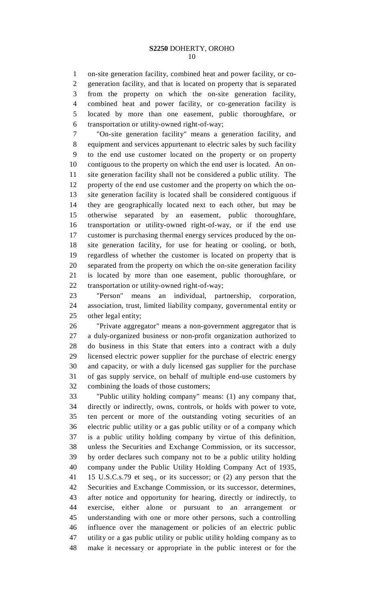1 on-site generation facility, combined heat and power facility, or co-2 generation facility, and that is located on property that is separated 3 from the property on which the on-site generation facility, 4 combined heat and power facility, or co-generation facility is 5 located by more than one easement, public thoroughfare, or 6 transportation or utility-owned right-of-way;

7 "On-site generation facility" means a generation facility, and 8 equipment and services appurtenant to electric sales by such facility 9 to the end use customer located on the property or on property 10 contiguous to the property on which the end user is located. An on-11 site generation facility shall not be considered a public utility. The 12 property of the end use customer and the property on which the on-13 site generation facility is located shall be considered contiguous if 14 they are geographically located next to each other, but may be 15 otherwise separated by an easement, public thoroughfare, 16 transportation or utility-owned right-of-way, or if the end use 17 customer is purchasing thermal energy services produced by the on-18 site generation facility, for use for heating or cooling, or both, 19 regardless of whether the customer is located on property that is 20 separated from the property on which the on-site generation facility 21 is located by more than one easement, public thoroughfare, or 22 transportation or utility-owned right-of-way;

23 "Person" means an individual, partnership, corporation, 24 association, trust, limited liability company, governmental entity or 25 other legal entity;

26 "Private aggregator" means a non-government aggregator that is 27 a duly-organized business or non-profit organization authorized to 28 do business in this State that enters into a contract with a duly 29 licensed electric power supplier for the purchase of electric energy 30 and capacity, or with a duly licensed gas supplier for the purchase 31 of gas supply service, on behalf of multiple end-use customers by 32 combining the loads of those customers;

33 "Public utility holding company" means: (1) any company that, 34 directly or indirectly, owns, controls, or holds with power to vote, 35 ten percent or more of the outstanding voting securities of an 36 electric public utility or a gas public utility or of a company which 37 is a public utility holding company by virtue of this definition, 38 unless the Securities and Exchange Commission, or its successor, 39 by order declares such company not to be a public utility holding 40 company under the Public Utility Holding Company Act of 1935, 41 15 U.S.C.s.79 et seq., or its successor; or (2) any person that the 42 Securities and Exchange Commission, or its successor, determines, 43 after notice and opportunity for hearing, directly or indirectly, to 44 exercise, either alone or pursuant to an arrangement or 45 understanding with one or more other persons, such a controlling 46 influence over the management or policies of an electric public 47 utility or a gas public utility or public utility holding company as to 48 make it necessary or appropriate in the public interest or for the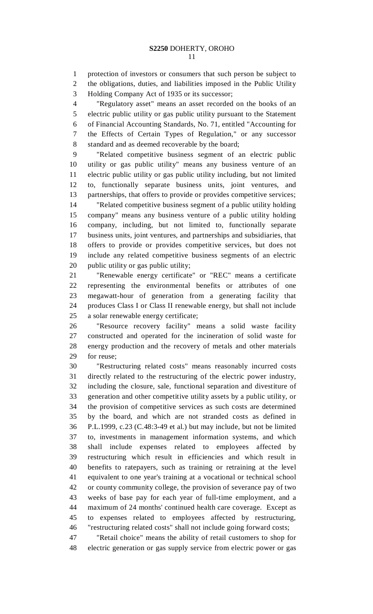1 protection of investors or consumers that such person be subject to

2 the obligations, duties, and liabilities imposed in the Public Utility 3 Holding Company Act of 1935 or its successor;

4 "Regulatory asset" means an asset recorded on the books of an 5 electric public utility or gas public utility pursuant to the Statement 6 of Financial Accounting Standards, No. 71, entitled "Accounting for 7 the Effects of Certain Types of Regulation," or any successor 8 standard and as deemed recoverable by the board;

9 "Related competitive business segment of an electric public 10 utility or gas public utility" means any business venture of an 11 electric public utility or gas public utility including, but not limited 12 to, functionally separate business units, joint ventures, and 13 partnerships, that offers to provide or provides competitive services; 14 "Related competitive business segment of a public utility holding 15 company" means any business venture of a public utility holding 16 company, including, but not limited to, functionally separate 17 business units, joint ventures, and partnerships and subsidiaries, that 18 offers to provide or provides competitive services, but does not 19 include any related competitive business segments of an electric 20 public utility or gas public utility;

21 "Renewable energy certificate" or "REC" means a certificate 22 representing the environmental benefits or attributes of one 23 megawatt-hour of generation from a generating facility that 24 produces Class I or Class II renewable energy, but shall not include 25 a solar renewable energy certificate;

26 "Resource recovery facility" means a solid waste facility 27 constructed and operated for the incineration of solid waste for 28 energy production and the recovery of metals and other materials 29 for reuse;

30 "Restructuring related costs" means reasonably incurred costs 31 directly related to the restructuring of the electric power industry, 32 including the closure, sale, functional separation and divestiture of 33 generation and other competitive utility assets by a public utility, or 34 the provision of competitive services as such costs are determined 35 by the board, and which are not stranded costs as defined in 36 P.L.1999, c.23 (C.48:3-49 et al.) but may include, but not be limited 37 to, investments in management information systems, and which 38 shall include expenses related to employees affected by 39 restructuring which result in efficiencies and which result in 40 benefits to ratepayers, such as training or retraining at the level 41 equivalent to one year's training at a vocational or technical school 42 or county community college, the provision of severance pay of two 43 weeks of base pay for each year of full-time employment, and a 44 maximum of 24 months' continued health care coverage. Except as 45 to expenses related to employees affected by restructuring, 46 "restructuring related costs" shall not include going forward costs;

47 "Retail choice" means the ability of retail customers to shop for 48 electric generation or gas supply service from electric power or gas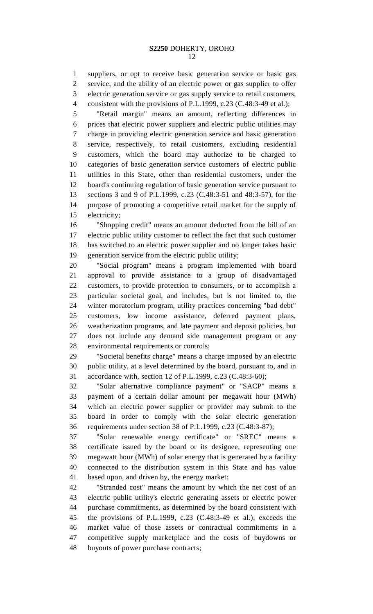1 suppliers, or opt to receive basic generation service or basic gas 2 service, and the ability of an electric power or gas supplier to offer 3 electric generation service or gas supply service to retail customers, 4 consistent with the provisions of P.L.1999, c.23 (C.48:3-49 et al.);

5 "Retail margin" means an amount, reflecting differences in 6 prices that electric power suppliers and electric public utilities may 7 charge in providing electric generation service and basic generation 8 service, respectively, to retail customers, excluding residential 9 customers, which the board may authorize to be charged to 10 categories of basic generation service customers of electric public 11 utilities in this State, other than residential customers, under the 12 board's continuing regulation of basic generation service pursuant to 13 sections 3 and 9 of P.L.1999, c.23 (C.48:3-51 and 48:3-57), for the 14 purpose of promoting a competitive retail market for the supply of 15 electricity;

16 "Shopping credit" means an amount deducted from the bill of an 17 electric public utility customer to reflect the fact that such customer 18 has switched to an electric power supplier and no longer takes basic 19 generation service from the electric public utility;

20 "Social program" means a program implemented with board 21 approval to provide assistance to a group of disadvantaged 22 customers, to provide protection to consumers, or to accomplish a 23 particular societal goal, and includes, but is not limited to, the 24 winter moratorium program, utility practices concerning "bad debt" 25 customers, low income assistance, deferred payment plans, 26 weatherization programs, and late payment and deposit policies, but 27 does not include any demand side management program or any 28 environmental requirements or controls;

29 "Societal benefits charge" means a charge imposed by an electric 30 public utility, at a level determined by the board, pursuant to, and in 31 accordance with, section 12 of P.L.1999, c.23 (C.48:3-60);

32 "Solar alternative compliance payment" or "SACP" means a 33 payment of a certain dollar amount per megawatt hour (MWh) 34 which an electric power supplier or provider may submit to the 35 board in order to comply with the solar electric generation 36 requirements under section 38 of P.L.1999, c.23 (C.48:3-87);

37 "Solar renewable energy certificate" or "SREC" means a 38 certificate issued by the board or its designee, representing one 39 megawatt hour (MWh) of solar energy that is generated by a facility 40 connected to the distribution system in this State and has value 41 based upon, and driven by, the energy market;

42 "Stranded cost" means the amount by which the net cost of an 43 electric public utility's electric generating assets or electric power 44 purchase commitments, as determined by the board consistent with 45 the provisions of P.L.1999, c.23 (C.48:3-49 et al.), exceeds the 46 market value of those assets or contractual commitments in a 47 competitive supply marketplace and the costs of buydowns or 48 buyouts of power purchase contracts;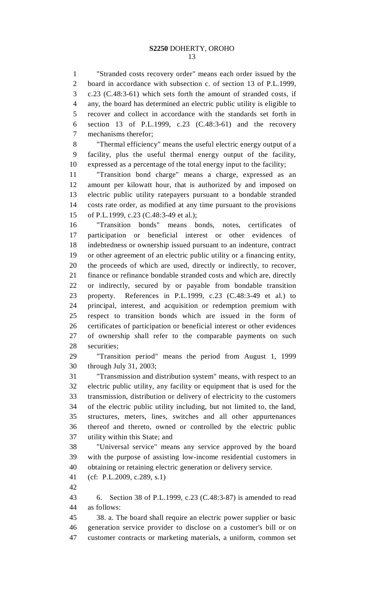1 "Stranded costs recovery order" means each order issued by the 2 board in accordance with subsection c. of section 13 of P.L.1999, 3 c.23 (C.48:3-61) which sets forth the amount of stranded costs, if 4 any, the board has determined an electric public utility is eligible to 5 recover and collect in accordance with the standards set forth in 6 section 13 of P.L.1999, c.23 (C.48:3-61) and the recovery 7 mechanisms therefor;

8 "Thermal efficiency" means the useful electric energy output of a 9 facility, plus the useful thermal energy output of the facility, 10 expressed as a percentage of the total energy input to the facility;

11 "Transition bond charge" means a charge, expressed as an 12 amount per kilowatt hour, that is authorized by and imposed on 13 electric public utility ratepayers pursuant to a bondable stranded 14 costs rate order, as modified at any time pursuant to the provisions 15 of P.L.1999, c.23 (C.48:3-49 et al.);

16 "Transition bonds" means bonds, notes, certificates of 17 participation or beneficial interest or other evidences of 18 indebtedness or ownership issued pursuant to an indenture, contract 19 or other agreement of an electric public utility or a financing entity, 20 the proceeds of which are used, directly or indirectly, to recover, 21 finance or refinance bondable stranded costs and which are, directly 22 or indirectly, secured by or payable from bondable transition 23 property. References in P.L.1999, c.23 (C.48:3-49 et al.) to 24 principal, interest, and acquisition or redemption premium with 25 respect to transition bonds which are issued in the form of 26 certificates of participation or beneficial interest or other evidences 27 of ownership shall refer to the comparable payments on such 28 securities;

29 "Transition period" means the period from August 1, 1999 30 through July 31, 2003;

31 "Transmission and distribution system" means, with respect to an 32 electric public utility, any facility or equipment that is used for the 33 transmission, distribution or delivery of electricity to the customers 34 of the electric public utility including, but not limited to, the land, 35 structures, meters, lines, switches and all other appurtenances 36 thereof and thereto, owned or controlled by the electric public 37 utility within this State; and

38 "Universal service" means any service approved by the board 39 with the purpose of assisting low-income residential customers in 40 obtaining or retaining electric generation or delivery service.

41 (cf: P.L.2009, c.289, s.1)

42

43 6. Section 38 of P.L.1999, c.23 (C.48:3-87) is amended to read 44 as follows:

45 38. a. The board shall require an electric power supplier or basic 46 generation service provider to disclose on a customer's bill or on 47 customer contracts or marketing materials, a uniform, common set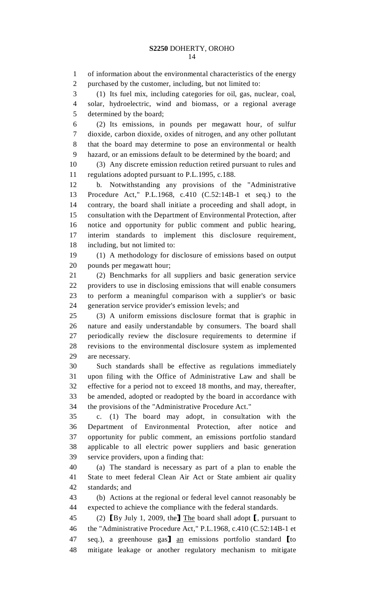1 of information about the environmental characteristics of the energy 2 purchased by the customer, including, but not limited to: 3 (1) Its fuel mix, including categories for oil, gas, nuclear, coal, 4 solar, hydroelectric, wind and biomass, or a regional average 5 determined by the board; 6 (2) Its emissions, in pounds per megawatt hour, of sulfur 7 dioxide, carbon dioxide, oxides of nitrogen, and any other pollutant 8 that the board may determine to pose an environmental or health 9 hazard, or an emissions default to be determined by the board; and 10 (3) Any discrete emission reduction retired pursuant to rules and 11 regulations adopted pursuant to P.L.1995, c.188. 12 b. Notwithstanding any provisions of the "Administrative 13 Procedure Act," P.L.1968, c.410 (C.52:14B-1 et seq.) to the 14 contrary, the board shall initiate a proceeding and shall adopt, in 15 consultation with the Department of Environmental Protection, after 16 notice and opportunity for public comment and public hearing, 17 interim standards to implement this disclosure requirement, 18 including, but not limited to: 19 (1) A methodology for disclosure of emissions based on output 20 pounds per megawatt hour; 21 (2) Benchmarks for all suppliers and basic generation service 22 providers to use in disclosing emissions that will enable consumers 23 to perform a meaningful comparison with a supplier's or basic 24 generation service provider's emission levels; and 25 (3) A uniform emissions disclosure format that is graphic in 26 nature and easily understandable by consumers. The board shall 27 periodically review the disclosure requirements to determine if 28 revisions to the environmental disclosure system as implemented 29 are necessary. 30 Such standards shall be effective as regulations immediately 31 upon filing with the Office of Administrative Law and shall be 32 effective for a period not to exceed 18 months, and may, thereafter, 33 be amended, adopted or readopted by the board in accordance with 34 the provisions of the "Administrative Procedure Act." 35 c. (1) The board may adopt, in consultation with the 36 Department of Environmental Protection, after notice and 37 opportunity for public comment, an emissions portfolio standard 38 applicable to all electric power suppliers and basic generation 39 service providers, upon a finding that: 40 (a) The standard is necessary as part of a plan to enable the 41 State to meet federal Clean Air Act or State ambient air quality 42 standards; and 43 (b) Actions at the regional or federal level cannot reasonably be 44 expected to achieve the compliance with the federal standards. 45 (2) [By July 1, 2009, the] The board shall adopt [, pursuant to the "Administrative Procedure Act," P.L.1968, c.410 (C.52:14B-1 et the "Administrative Procedure Act," P.L.1968, c.410 (C.52:14B-1 et 47 seq.), a greenhouse gas <u>an</u> emissions portfolio standard *[to 48 mitigate leakage or another regulatory mechanism to mitigate* mitigate leakage or another regulatory mechanism to mitigate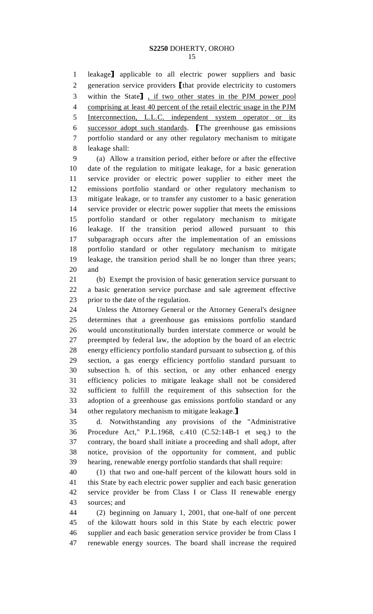#### **S2250** DOHERTY, OROHO 15

1 leakage] applicable to all electric power suppliers and basic<br>2 generation service providers I that provide electricity to customers 2 generation service providers [that provide electricity to customers<br>3 within the State], if two other states in the PJM power pool 3 within the State], if two other states in the PJM power pool<br>4 comprising at least 40 percent of the retail electric usage in the PJM comprising at least 40 percent of the retail electric usage in the PJM 5 Interconnection, L.L.C. independent system operator or its 6 successor adopt such standards. The greenhouse gas emissions<br>7 portfolio standard or any other regulatory mechanism to mitigate portfolio standard or any other regulatory mechanism to mitigate 8 leakage shall:

9 (a) Allow a transition period, either before or after the effective 10 date of the regulation to mitigate leakage, for a basic generation 11 service provider or electric power supplier to either meet the 12 emissions portfolio standard or other regulatory mechanism to 13 mitigate leakage, or to transfer any customer to a basic generation 14 service provider or electric power supplier that meets the emissions 15 portfolio standard or other regulatory mechanism to mitigate 16 leakage. If the transition period allowed pursuant to this 17 subparagraph occurs after the implementation of an emissions 18 portfolio standard or other regulatory mechanism to mitigate 19 leakage, the transition period shall be no longer than three years; 20 and

21 (b) Exempt the provision of basic generation service pursuant to 22 a basic generation service purchase and sale agreement effective 23 prior to the date of the regulation.

24 Unless the Attorney General or the Attorney General's designee 25 determines that a greenhouse gas emissions portfolio standard 26 would unconstitutionally burden interstate commerce or would be 27 preempted by federal law, the adoption by the board of an electric 28 energy efficiency portfolio standard pursuant to subsection g. of this 29 section, a gas energy efficiency portfolio standard pursuant to 30 subsection h. of this section, or any other enhanced energy 31 efficiency policies to mitigate leakage shall not be considered 32 sufficient to fulfill the requirement of this subsection for the 33 adoption of a greenhouse gas emissions portfolio standard or any 34 other regulatory mechanism to mitigate leakage.<br>35 d. Notwithstanding any provisions of the

35 d. Notwithstanding any provisions of the "Administrative 36 Procedure Act," P.L.1968, c.410 (C.52:14B-1 et seq.) to the 37 contrary, the board shall initiate a proceeding and shall adopt, after 38 notice, provision of the opportunity for comment, and public 39 hearing, renewable energy portfolio standards that shall require:

40 (1) that two and one-half percent of the kilowatt hours sold in 41 this State by each electric power supplier and each basic generation 42 service provider be from Class I or Class II renewable energy 43 sources; and

44 (2) beginning on January 1, 2001, that one-half of one percent 45 of the kilowatt hours sold in this State by each electric power 46 supplier and each basic generation service provider be from Class I 47 renewable energy sources. The board shall increase the required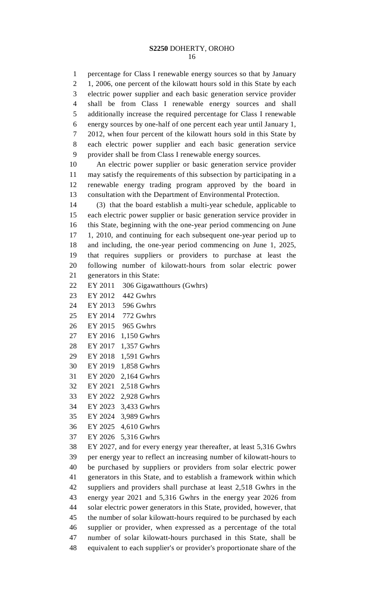#### **S2250** DOHERTY, OROHO 16

1 percentage for Class I renewable energy sources so that by January 2 1, 2006, one percent of the kilowatt hours sold in this State by each 3 electric power supplier and each basic generation service provider 4 shall be from Class I renewable energy sources and shall 5 additionally increase the required percentage for Class I renewable 6 energy sources by one-half of one percent each year until January 1, 7 2012, when four percent of the kilowatt hours sold in this State by 8 each electric power supplier and each basic generation service 9 provider shall be from Class I renewable energy sources.

10 An electric power supplier or basic generation service provider 11 may satisfy the requirements of this subsection by participating in a 12 renewable energy trading program approved by the board in 13 consultation with the Department of Environmental Protection.

14 (3) that the board establish a multi-year schedule, applicable to 15 each electric power supplier or basic generation service provider in 16 this State, beginning with the one-year period commencing on June 17 1, 2010, and continuing for each subsequent one-year period up to 18 and including, the one-year period commencing on June 1, 2025, 19 that requires suppliers or providers to purchase at least the 20 following number of kilowatt-hours from solar electric power 21 generators in this State:

- 22 EY 2011 306 Gigawatthours (Gwhrs)
- 23 EY 2012 442 Gwhrs
- 24 EY 2013 596 Gwhrs
- 25 EY 2014 772 Gwhrs
- 26 EY 2015 965 Gwhrs
- 27 EY 2016 1,150 Gwhrs
- 28 EY 2017 1,357 Gwhrs
- 29 EY 2018 1,591 Gwhrs
- 30 EY 2019 1,858 Gwhrs
- 31 EY 2020 2,164 Gwhrs
- 32 EY 2021 2,518 Gwhrs
- 33 EY 2022 2,928 Gwhrs
- 34 EY 2023 3,433 Gwhrs
- 35 EY 2024 3,989 Gwhrs
- 36 EY 2025 4,610 Gwhrs
- 37 EY 2026 5,316 Gwhrs

38 EY 2027, and for every energy year thereafter, at least 5,316 Gwhrs 39 per energy year to reflect an increasing number of kilowatt-hours to 40 be purchased by suppliers or providers from solar electric power 41 generators in this State, and to establish a framework within which 42 suppliers and providers shall purchase at least 2,518 Gwhrs in the 43 energy year 2021 and 5,316 Gwhrs in the energy year 2026 from 44 solar electric power generators in this State, provided, however, that 45 the number of solar kilowatt-hours required to be purchased by each 46 supplier or provider, when expressed as a percentage of the total 47 number of solar kilowatt-hours purchased in this State, shall be 48 equivalent to each supplier's or provider's proportionate share of the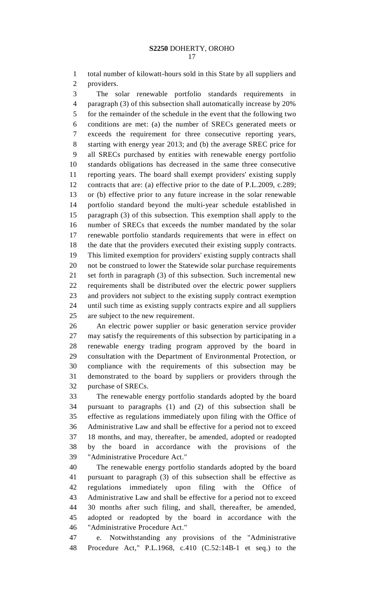1 total number of kilowatt-hours sold in this State by all suppliers and 2 providers.

3 The solar renewable portfolio standards requirements in 4 paragraph (3) of this subsection shall automatically increase by 20% 5 for the remainder of the schedule in the event that the following two 6 conditions are met: (a) the number of SRECs generated meets or 7 exceeds the requirement for three consecutive reporting years, 8 starting with energy year 2013; and (b) the average SREC price for 9 all SRECs purchased by entities with renewable energy portfolio 10 standards obligations has decreased in the same three consecutive 11 reporting years. The board shall exempt providers' existing supply 12 contracts that are: (a) effective prior to the date of P.L.2009, c.289; 13 or (b) effective prior to any future increase in the solar renewable 14 portfolio standard beyond the multi-year schedule established in 15 paragraph (3) of this subsection. This exemption shall apply to the 16 number of SRECs that exceeds the number mandated by the solar 17 renewable portfolio standards requirements that were in effect on 18 the date that the providers executed their existing supply contracts. 19 This limited exemption for providers' existing supply contracts shall 20 not be construed to lower the Statewide solar purchase requirements 21 set forth in paragraph (3) of this subsection. Such incremental new 22 requirements shall be distributed over the electric power suppliers 23 and providers not subject to the existing supply contract exemption 24 until such time as existing supply contracts expire and all suppliers 25 are subject to the new requirement.

26 An electric power supplier or basic generation service provider 27 may satisfy the requirements of this subsection by participating in a 28 renewable energy trading program approved by the board in 29 consultation with the Department of Environmental Protection, or 30 compliance with the requirements of this subsection may be 31 demonstrated to the board by suppliers or providers through the 32 purchase of SRECs.

33 The renewable energy portfolio standards adopted by the board 34 pursuant to paragraphs (1) and (2) of this subsection shall be 35 effective as regulations immediately upon filing with the Office of 36 Administrative Law and shall be effective for a period not to exceed 37 18 months, and may, thereafter, be amended, adopted or readopted 38 by the board in accordance with the provisions of the 39 "Administrative Procedure Act."

40 The renewable energy portfolio standards adopted by the board 41 pursuant to paragraph (3) of this subsection shall be effective as 42 regulations immediately upon filing with the Office of 43 Administrative Law and shall be effective for a period not to exceed 44 30 months after such filing, and shall, thereafter, be amended, 45 adopted or readopted by the board in accordance with the 46 "Administrative Procedure Act."

47 e. Notwithstanding any provisions of the "Administrative 48 Procedure Act," P.L.1968, c.410 (C.52:14B-1 et seq.) to the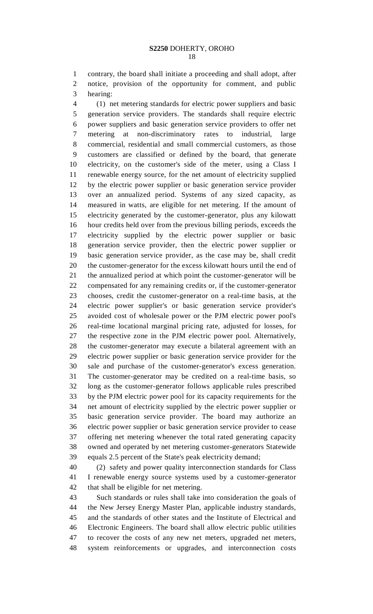1 contrary, the board shall initiate a proceeding and shall adopt, after 2 notice, provision of the opportunity for comment, and public 3 hearing:

4 (1) net metering standards for electric power suppliers and basic 5 generation service providers. The standards shall require electric 6 power suppliers and basic generation service providers to offer net 7 metering at non-discriminatory rates to industrial, large 8 commercial, residential and small commercial customers, as those 9 customers are classified or defined by the board, that generate 10 electricity, on the customer's side of the meter, using a Class I 11 renewable energy source, for the net amount of electricity supplied 12 by the electric power supplier or basic generation service provider 13 over an annualized period. Systems of any sized capacity, as 14 measured in watts, are eligible for net metering. If the amount of 15 electricity generated by the customer-generator, plus any kilowatt 16 hour credits held over from the previous billing periods, exceeds the 17 electricity supplied by the electric power supplier or basic 18 generation service provider, then the electric power supplier or 19 basic generation service provider, as the case may be, shall credit 20 the customer-generator for the excess kilowatt hours until the end of 21 the annualized period at which point the customer-generator will be 22 compensated for any remaining credits or, if the customer-generator 23 chooses, credit the customer-generator on a real-time basis, at the 24 electric power supplier's or basic generation service provider's 25 avoided cost of wholesale power or the PJM electric power pool's 26 real-time locational marginal pricing rate, adjusted for losses, for 27 the respective zone in the PJM electric power pool. Alternatively, 28 the customer-generator may execute a bilateral agreement with an 29 electric power supplier or basic generation service provider for the 30 sale and purchase of the customer-generator's excess generation. 31 The customer-generator may be credited on a real-time basis, so 32 long as the customer-generator follows applicable rules prescribed 33 by the PJM electric power pool for its capacity requirements for the 34 net amount of electricity supplied by the electric power supplier or 35 basic generation service provider. The board may authorize an 36 electric power supplier or basic generation service provider to cease 37 offering net metering whenever the total rated generating capacity 38 owned and operated by net metering customer-generators Statewide 39 equals 2.5 percent of the State's peak electricity demand;

40 (2) safety and power quality interconnection standards for Class 41 I renewable energy source systems used by a customer-generator 42 that shall be eligible for net metering.

43 Such standards or rules shall take into consideration the goals of 44 the New Jersey Energy Master Plan, applicable industry standards, 45 and the standards of other states and the Institute of Electrical and 46 Electronic Engineers. The board shall allow electric public utilities 47 to recover the costs of any new net meters, upgraded net meters, 48 system reinforcements or upgrades, and interconnection costs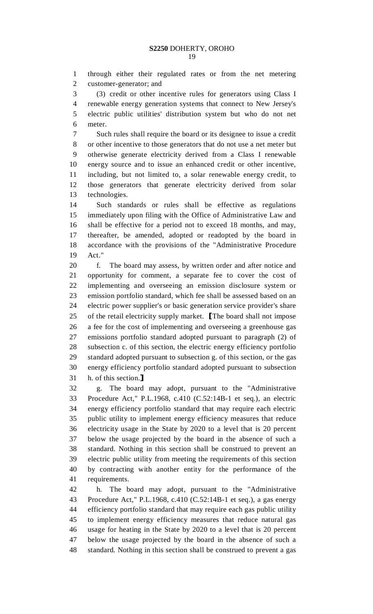1 through either their regulated rates or from the net metering 2 customer-generator; and

3 (3) credit or other incentive rules for generators using Class I 4 renewable energy generation systems that connect to New Jersey's 5 electric public utilities' distribution system but who do not net 6 meter.

7 Such rules shall require the board or its designee to issue a credit 8 or other incentive to those generators that do not use a net meter but 9 otherwise generate electricity derived from a Class I renewable 10 energy source and to issue an enhanced credit or other incentive, 11 including, but not limited to, a solar renewable energy credit, to 12 those generators that generate electricity derived from solar 13 technologies.

14 Such standards or rules shall be effective as regulations 15 immediately upon filing with the Office of Administrative Law and 16 shall be effective for a period not to exceed 18 months, and may, 17 thereafter, be amended, adopted or readopted by the board in 18 accordance with the provisions of the "Administrative Procedure 19 Act."

20 f. The board may assess, by written order and after notice and 21 opportunity for comment, a separate fee to cover the cost of 22 implementing and overseeing an emission disclosure system or 23 emission portfolio standard, which fee shall be assessed based on an 24 electric power supplier's or basic generation service provider's share 25 of the retail electricity supply market. The board shall not impose<br>26 a fee for the cost of implementing and overseeing a greenhouse gas a fee for the cost of implementing and overseeing a greenhouse gas 27 emissions portfolio standard adopted pursuant to paragraph (2) of 28 subsection c. of this section, the electric energy efficiency portfolio 29 standard adopted pursuant to subsection g. of this section, or the gas 30 energy efficiency portfolio standard adopted pursuant to subsection

31 h. of this section. **J**<br>32 g. The board The board may adopt, pursuant to the "Administrative 33 Procedure Act," P.L.1968, c.410 (C.52:14B-1 et seq.), an electric 34 energy efficiency portfolio standard that may require each electric 35 public utility to implement energy efficiency measures that reduce 36 electricity usage in the State by 2020 to a level that is 20 percent 37 below the usage projected by the board in the absence of such a 38 standard. Nothing in this section shall be construed to prevent an 39 electric public utility from meeting the requirements of this section 40 by contracting with another entity for the performance of the 41 requirements.

42 h. The board may adopt, pursuant to the "Administrative 43 Procedure Act," P.L.1968, c.410 (C.52:14B-1 et seq.), a gas energy 44 efficiency portfolio standard that may require each gas public utility 45 to implement energy efficiency measures that reduce natural gas 46 usage for heating in the State by 2020 to a level that is 20 percent 47 below the usage projected by the board in the absence of such a 48 standard. Nothing in this section shall be construed to prevent a gas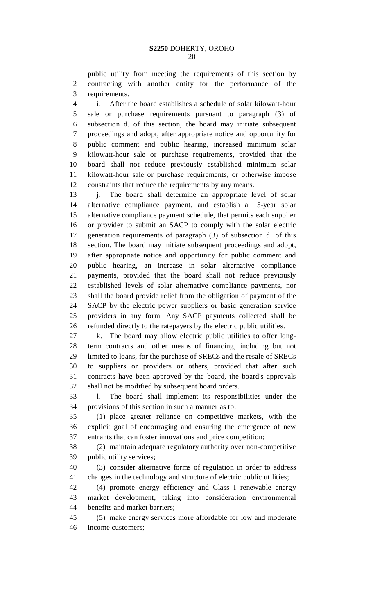1 public utility from meeting the requirements of this section by 2 contracting with another entity for the performance of the 3 requirements.

4 i. After the board establishes a schedule of solar kilowatt-hour 5 sale or purchase requirements pursuant to paragraph (3) of 6 subsection d. of this section, the board may initiate subsequent 7 proceedings and adopt, after appropriate notice and opportunity for 8 public comment and public hearing, increased minimum solar 9 kilowatt-hour sale or purchase requirements, provided that the 10 board shall not reduce previously established minimum solar 11 kilowatt-hour sale or purchase requirements, or otherwise impose 12 constraints that reduce the requirements by any means.

13 j. The board shall determine an appropriate level of solar 14 alternative compliance payment, and establish a 15-year solar 15 alternative compliance payment schedule, that permits each supplier 16 or provider to submit an SACP to comply with the solar electric 17 generation requirements of paragraph (3) of subsection d. of this 18 section. The board may initiate subsequent proceedings and adopt, 19 after appropriate notice and opportunity for public comment and 20 public hearing, an increase in solar alternative compliance 21 payments, provided that the board shall not reduce previously 22 established levels of solar alternative compliance payments, nor 23 shall the board provide relief from the obligation of payment of the 24 SACP by the electric power suppliers or basic generation service 25 providers in any form. Any SACP payments collected shall be 26 refunded directly to the ratepayers by the electric public utilities.

27 k. The board may allow electric public utilities to offer long-28 term contracts and other means of financing, including but not 29 limited to loans, for the purchase of SRECs and the resale of SRECs 30 to suppliers or providers or others, provided that after such 31 contracts have been approved by the board, the board's approvals 32 shall not be modified by subsequent board orders.

33 l. The board shall implement its responsibilities under the 34 provisions of this section in such a manner as to:

35 (1) place greater reliance on competitive markets, with the 36 explicit goal of encouraging and ensuring the emergence of new 37 entrants that can foster innovations and price competition;

38 (2) maintain adequate regulatory authority over non-competitive 39 public utility services;

40 (3) consider alternative forms of regulation in order to address 41 changes in the technology and structure of electric public utilities;

42 (4) promote energy efficiency and Class I renewable energy 43 market development, taking into consideration environmental 44 benefits and market barriers;

45 (5) make energy services more affordable for low and moderate 46 income customers;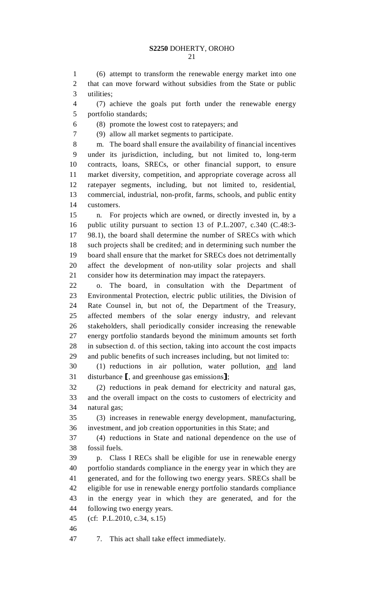1 (6) attempt to transform the renewable energy market into one 2 that can move forward without subsidies from the State or public 3 utilities;

4 (7) achieve the goals put forth under the renewable energy 5 portfolio standards;

6 (8) promote the lowest cost to ratepayers; and

7 (9) allow all market segments to participate.

8 m. The board shall ensure the availability of financial incentives 9 under its jurisdiction, including, but not limited to, long-term 10 contracts, loans, SRECs, or other financial support, to ensure 11 market diversity, competition, and appropriate coverage across all 12 ratepayer segments, including, but not limited to, residential, 13 commercial, industrial, non-profit, farms, schools, and public entity 14 customers.

15 n. For projects which are owned, or directly invested in, by a 16 public utility pursuant to section 13 of P.L.2007, c.340 (C.48:3- 17 98.1), the board shall determine the number of SRECs with which 18 such projects shall be credited; and in determining such number the 19 board shall ensure that the market for SRECs does not detrimentally 20 affect the development of non-utility solar projects and shall 21 consider how its determination may impact the ratepayers.

22 o. The board, in consultation with the Department of 23 Environmental Protection, electric public utilities, the Division of 24 Rate Counsel in, but not of, the Department of the Treasury, 25 affected members of the solar energy industry, and relevant 26 stakeholders, shall periodically consider increasing the renewable 27 energy portfolio standards beyond the minimum amounts set forth 28 in subsection d. of this section, taking into account the cost impacts 29 and public benefits of such increases including, but not limited to:

30 (1) reductions in air pollution, water pollution, and land 31 disturbance [, and greenhouse gas emissions];<br>32 (2) reductions in peak demand for electri

32 (2) reductions in peak demand for electricity and natural gas, 33 and the overall impact on the costs to customers of electricity and 34 natural gas;

35 (3) increases in renewable energy development, manufacturing, 36 investment, and job creation opportunities in this State; and

37 (4) reductions in State and national dependence on the use of 38 fossil fuels.

39 p. Class I RECs shall be eligible for use in renewable energy 40 portfolio standards compliance in the energy year in which they are 41 generated, and for the following two energy years. SRECs shall be 42 eligible for use in renewable energy portfolio standards compliance 43 in the energy year in which they are generated, and for the 44 following two energy years.

45 (cf: P.L.2010, c.34, s.15)

46

47 7. This act shall take effect immediately.